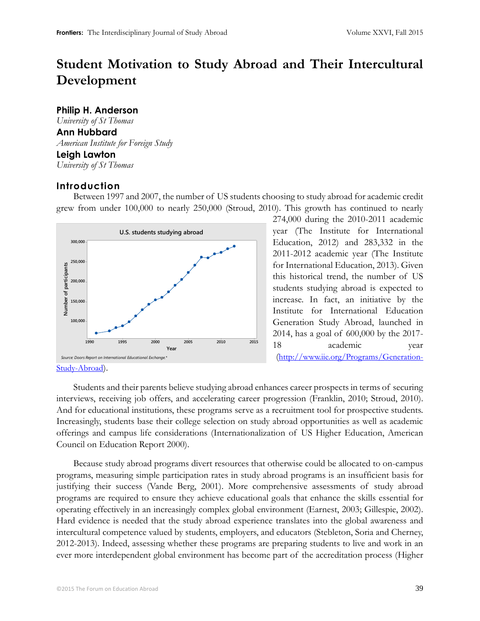# **Student Motivation to Study Abroad and Their Intercultural Development**

# **Philip H. Anderson**

*University of St Thomas*  **Ann Hubbard** *American Institute for Foreign Study* **Leigh Lawton**

*University of St Thomas*

# **Introduction**

Between 1997 and 2007, the number of US students choosing to study abroad for academic credit grew from under 100,000 to nearly 250,000 (Stroud, 2010). This growth has continued to nearly



274,000 during the 2010-2011 academic year (The Institute for International Education, 2012) and 283,332 in the 2011-2012 academic year (The Institute for International Education, 2013). Given this historical trend, the number of US students studying abroad is expected to increase. In fact, an initiative by the Institute for International Education Generation Study Abroad, launched in 2014, has a goal of 600,000 by the 2017- 18 academic year ([http://www.iie.org/Programs/Generation-](http://www.iie.org/Programs/Generation-Study-Abroad)

[Study-Abroad](http://www.iie.org/Programs/Generation-Study-Abroad)).

Students and their parents believe studying abroad enhances career prospects in terms of securing interviews, receiving job offers, and accelerating career progression (Franklin, 2010; Stroud, 2010). And for educational institutions, these programs serve as a recruitment tool for prospective students. Increasingly, students base their college selection on study abroad opportunities as well as academic offerings and campus life considerations (Internationalization of US Higher Education, American Council on Education Report 2000).

Because study abroad programs divert resources that otherwise could be allocated to on-campus programs, measuring simple participation rates in study abroad programs is an insufficient basis for justifying their success (Vande Berg, 2001). More comprehensive assessments of study abroad programs are required to ensure they achieve educational goals that enhance the skills essential for operating effectively in an increasingly complex global environment (Earnest, 2003; Gillespie, 2002). Hard evidence is needed that the study abroad experience translates into the global awareness and intercultural competence valued by students, employers, and educators (Stebleton, Soria and Cherney, 2012-2013). Indeed, assessing whether these programs are preparing students to live and work in an ever more interdependent global environment has become part of the accreditation process (Higher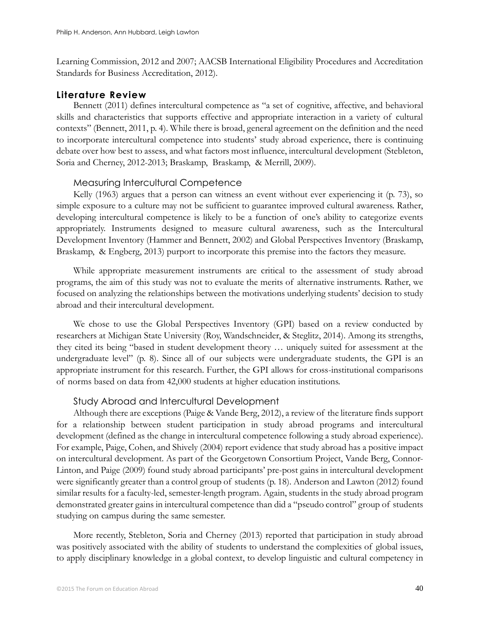Learning Commission, 2012 and 2007; AACSB International Eligibility Procedures and Accreditation Standards for Business Accreditation, 2012).

# **Literature Review**

Bennett (2011) defines intercultural competence as "a set of cognitive, affective, and behavioral skills and characteristics that supports effective and appropriate interaction in a variety of cultural contexts" (Bennett, 2011, p. 4). While there is broad, general agreement on the definition and the need to incorporate intercultural competence into students' study abroad experience, there is continuing debate over how best to assess, and what factors most influence, intercultural development (Stebleton, Soria and Cherney, 2012-2013; Braskamp, Braskamp, & Merrill, 2009).

### Measuring Intercultural Competence

Kelly (1963) argues that a person can witness an event without ever experiencing it (p. 73), so simple exposure to a culture may not be sufficient to guarantee improved cultural awareness. Rather, developing intercultural competence is likely to be a function of one's ability to categorize events appropriately. Instruments designed to measure cultural awareness, such as the Intercultural Development Inventory (Hammer and Bennett, 2002) and Global Perspectives Inventory (Braskamp, Braskamp, & Engberg, 2013) purport to incorporate this premise into the factors they measure.

While appropriate measurement instruments are critical to the assessment of study abroad programs, the aim of this study was not to evaluate the merits of alternative instruments. Rather, we focused on analyzing the relationships between the motivations underlying students' decision to study abroad and their intercultural development.

We chose to use the Global Perspectives Inventory (GPI) based on a review conducted by researchers at Michigan State University (Roy, Wandschneider, & Steglitz, 2014). Among its strengths, they cited its being "based in student development theory … uniquely suited for assessment at the undergraduate level" (p. 8). Since all of our subjects were undergraduate students, the GPI is an appropriate instrument for this research. Further, the GPI allows for cross-institutional comparisons of norms based on data from 42,000 students at higher education institutions.

### Study Abroad and Intercultural Development

Although there are exceptions (Paige & Vande Berg, 2012), a review of the literature finds support for a relationship between student participation in study abroad programs and intercultural development (defined as the change in intercultural competence following a study abroad experience). For example, Paige, Cohen, and Shively (2004) report evidence that study abroad has a positive impact on intercultural development. As part of the Georgetown Consortium Project, Vande Berg, Connor-Linton, and Paige (2009) found study abroad participants' pre-post gains in intercultural development were significantly greater than a control group of students (p. 18). Anderson and Lawton (2012) found similar results for a faculty-led, semester-length program. Again, students in the study abroad program demonstrated greater gains in intercultural competence than did a "pseudo control" group of students studying on campus during the same semester.

More recently, Stebleton, Soria and Cherney (2013) reported that participation in study abroad was positively associated with the ability of students to understand the complexities of global issues, to apply disciplinary knowledge in a global context, to develop linguistic and cultural competency in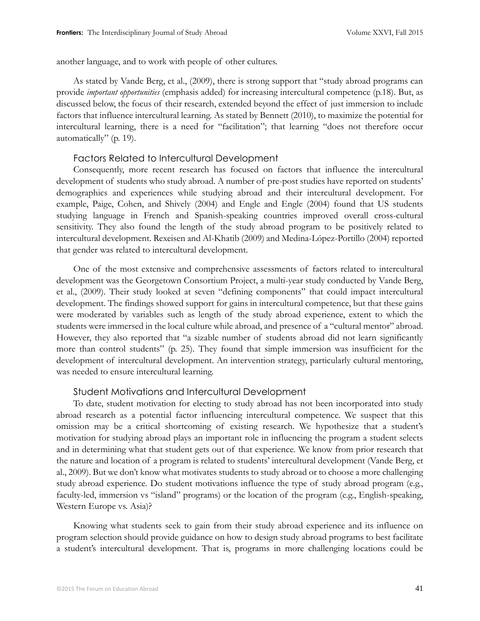another language, and to work with people of other cultures.

As stated by Vande Berg, et al., (2009), there is strong support that "study abroad programs can provide *important opportunities* (emphasis added) for increasing intercultural competence (p.18). But, as discussed below, the focus of their research, extended beyond the effect of just immersion to include factors that influence intercultural learning. As stated by Bennett (2010), to maximize the potential for intercultural learning, there is a need for "facilitation"; that learning "does not therefore occur automatically" (p. 19).

#### Factors Related to Intercultural Development

Consequently, more recent research has focused on factors that influence the intercultural development of students who study abroad. A number of pre-post studies have reported on students' demographics and experiences while studying abroad and their intercultural development. For example, Paige, Cohen, and Shively (2004) and Engle and Engle (2004) found that US students studying language in French and Spanish-speaking countries improved overall cross-cultural sensitivity. They also found the length of the study abroad program to be positively related to intercultural development. Rexeisen and Al-Khatib (2009) and Medina-López-Portillo (2004) reported that gender was related to intercultural development.

One of the most extensive and comprehensive assessments of factors related to intercultural development was the Georgetown Consortium Project, a multi-year study conducted by Vande Berg, et al., (2009). Their study looked at seven "defining components" that could impact intercultural development. The findings showed support for gains in intercultural competence, but that these gains were moderated by variables such as length of the study abroad experience, extent to which the students were immersed in the local culture while abroad, and presence of a "cultural mentor" abroad. However, they also reported that "a sizable number of students abroad did not learn significantly more than control students" (p. 25). They found that simple immersion was insufficient for the development of intercultural development. An intervention strategy, particularly cultural mentoring, was needed to ensure intercultural learning.

### Student Motivations and Intercultural Development

To date, student motivation for electing to study abroad has not been incorporated into study abroad research as a potential factor influencing intercultural competence. We suspect that this omission may be a critical shortcoming of existing research. We hypothesize that a student's motivation for studying abroad plays an important role in influencing the program a student selects and in determining what that student gets out of that experience. We know from prior research that the nature and location of a program is related to students' intercultural development (Vande Berg, et al., 2009). But we don't know what motivates students to study abroad or to choose a more challenging study abroad experience. Do student motivations influence the type of study abroad program (e.g., faculty-led, immersion vs "island" programs) or the location of the program (e.g., English-speaking, Western Europe vs. Asia)?

Knowing what students seek to gain from their study abroad experience and its influence on program selection should provide guidance on how to design study abroad programs to best facilitate a student's intercultural development. That is, programs in more challenging locations could be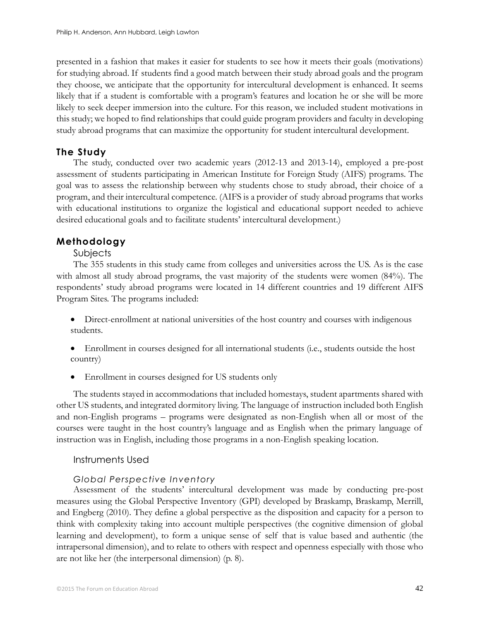presented in a fashion that makes it easier for students to see how it meets their goals (motivations) for studying abroad. If students find a good match between their study abroad goals and the program they choose, we anticipate that the opportunity for intercultural development is enhanced. It seems likely that if a student is comfortable with a program's features and location he or she will be more likely to seek deeper immersion into the culture. For this reason, we included student motivations in this study; we hoped to find relationships that could guide program providers and faculty in developing study abroad programs that can maximize the opportunity for student intercultural development.

## **The Study**

The study, conducted over two academic years (2012-13 and 2013-14), employed a pre-post assessment of students participating in American Institute for Foreign Study (AIFS) programs. The goal was to assess the relationship between why students chose to study abroad, their choice of a program, and their intercultural competence. (AIFS is a provider of study abroad programs that works with educational institutions to organize the logistical and educational support needed to achieve desired educational goals and to facilitate students' intercultural development.)

### **Methodology**

### Subjects

The 355 students in this study came from colleges and universities across the US. As is the case with almost all study abroad programs, the vast majority of the students were women (84%). The respondents' study abroad programs were located in 14 different countries and 19 different AIFS Program Sites. The programs included:

 Direct-enrollment at national universities of the host country and courses with indigenous students.

- Enrollment in courses designed for all international students (i.e., students outside the host country)
- Enrollment in courses designed for US students only

The students stayed in accommodations that included homestays, student apartments shared with other US students, and integrated dormitory living. The language of instruction included both English and non-English programs – programs were designated as non-English when all or most of the courses were taught in the host country's language and as English when the primary language of instruction was in English, including those programs in a non-English speaking location.

### Instruments Used

### *Global Perspective Inventory*

Assessment of the students' intercultural development was made by conducting pre-post measures using the Global Perspective Inventory (GPI) developed by Braskamp, Braskamp, Merrill, and Engberg (2010). They define a global perspective as the disposition and capacity for a person to think with complexity taking into account multiple perspectives (the cognitive dimension of global learning and development), to form a unique sense of self that is value based and authentic (the intrapersonal dimension), and to relate to others with respect and openness especially with those who are not like her (the interpersonal dimension) (p. 8).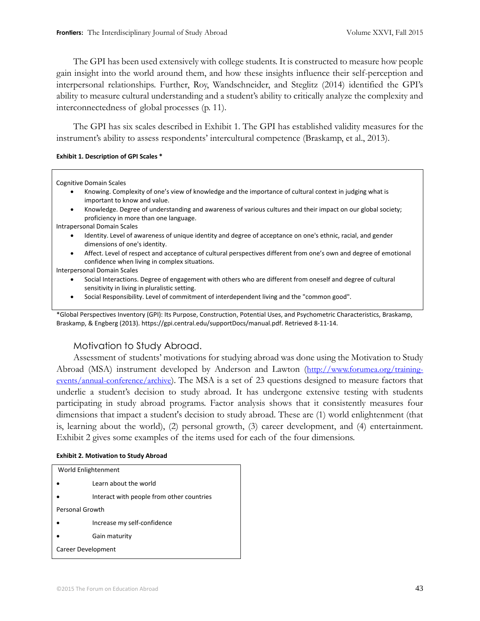The GPI has been used extensively with college students. It is constructed to measure how people gain insight into the world around them, and how these insights influence their self-perception and interpersonal relationships. Further, Roy, Wandschneider, and Steglitz (2014) identified the GPI's ability to measure cultural understanding and a student's ability to critically analyze the complexity and interconnectedness of global processes (p. 11).

The GPI has six scales described in Exhibit 1. The GPI has established validity measures for the instrument's ability to assess respondents' intercultural competence (Braskamp, et al., 2013).

#### **Exhibit 1. Description of GPI Scales \***

Cognitive Domain Scales

- Knowing. Complexity of one's view of knowledge and the importance of cultural context in judging what is important to know and value.
- Knowledge. Degree of understanding and awareness of various cultures and their impact on our global society; proficiency in more than one language.
- Intrapersonal Domain Scales
	- Identity. Level of awareness of unique identity and degree of acceptance on one's ethnic, racial, and gender dimensions of one's identity.
	- Affect. Level of respect and acceptance of cultural perspectives different from one's own and degree of emotional confidence when living in complex situations.

Interpersonal Domain Scales

- Social Interactions. Degree of engagement with others who are different from oneself and degree of cultural sensitivity in living in pluralistic setting.
- Social Responsibility. Level of commitment of interdependent living and the "common good".

\*Global Perspectives Inventory (GPI): Its Purpose, Construction, Potential Uses, and Psychometric Characteristics, Braskamp, Braskamp, & Engberg (2013)[. https://gpi.central.edu/supportDocs/manual.pdf.](https://gpi.central.edu/supportDocs/manual.pdf) Retrieved 8-11-14.

### Motivation to Study Abroad.

Assessment of students' motivations for studying abroad was done using the Motivation to Study Abroad (MSA) instrument developed by Anderson and Lawton ([http://www.forumea.org/training](http://www.forumea.org/training-events/annual-conference/archive)[events/annual-conference/archive](http://www.forumea.org/training-events/annual-conference/archive)). The MSA is a set of 23 questions designed to measure factors that underlie a student's decision to study abroad. It has undergone extensive testing with students participating in study abroad programs. Factor analysis shows that it consistently measures four dimensions that impact a student's decision to study abroad. These are (1) world enlightenment (that is, learning about the world), (2) personal growth, (3) career development, and (4) entertainment. Exhibit 2 gives some examples of the items used for each of the four dimensions.

#### **Exhibit 2. Motivation to Study Abroad**

| World Enlightenment |                                           |  |  |  |  |  |
|---------------------|-------------------------------------------|--|--|--|--|--|
|                     | Learn about the world                     |  |  |  |  |  |
|                     | Interact with people from other countries |  |  |  |  |  |
|                     | Personal Growth                           |  |  |  |  |  |
|                     | Increase my self-confidence               |  |  |  |  |  |
|                     | Gain maturity                             |  |  |  |  |  |
| Career Development  |                                           |  |  |  |  |  |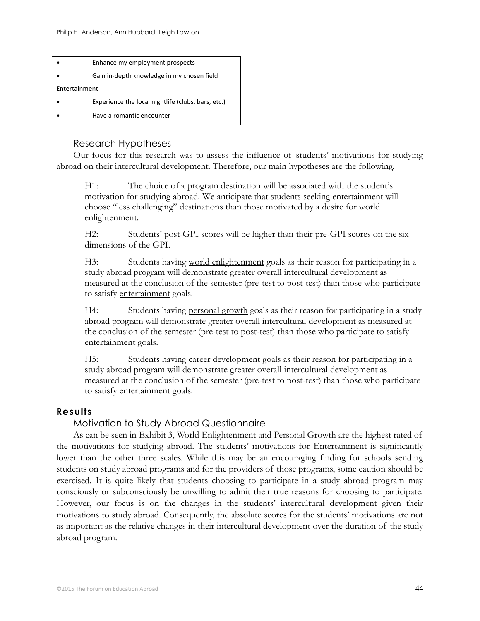

### Research Hypotheses

Our focus for this research was to assess the influence of students' motivations for studying abroad on their intercultural development. Therefore, our main hypotheses are the following.

H1: The choice of a program destination will be associated with the student's motivation for studying abroad. We anticipate that students seeking entertainment will choose "less challenging" destinations than those motivated by a desire for world enlightenment.

H2: Students' post-GPI scores will be higher than their pre-GPI scores on the six dimensions of the GPI.

H3: Students having world enlightenment goals as their reason for participating in a study abroad program will demonstrate greater overall intercultural development as measured at the conclusion of the semester (pre-test to post-test) than those who participate to satisfy entertainment goals.

H4: Students having personal growth goals as their reason for participating in a study abroad program will demonstrate greater overall intercultural development as measured at the conclusion of the semester (pre-test to post-test) than those who participate to satisfy entertainment goals.

H5: Students having career development goals as their reason for participating in a study abroad program will demonstrate greater overall intercultural development as measured at the conclusion of the semester (pre-test to post-test) than those who participate to satisfy entertainment goals.

### **Results**

### Motivation to Study Abroad Questionnaire

As can be seen in Exhibit 3, World Enlightenment and Personal Growth are the highest rated of the motivations for studying abroad. The students' motivations for Entertainment is significantly lower than the other three scales. While this may be an encouraging finding for schools sending students on study abroad programs and for the providers of those programs, some caution should be exercised. It is quite likely that students choosing to participate in a study abroad program may consciously or subconsciously be unwilling to admit their true reasons for choosing to participate. However, our focus is on the changes in the students' intercultural development given their motivations to study abroad. Consequently, the absolute scores for the students' motivations are not as important as the relative changes in their intercultural development over the duration of the study abroad program.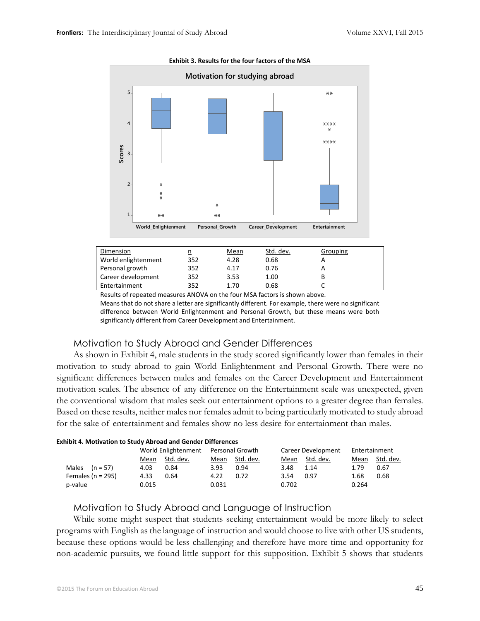

#### **Exhibit 3. Results for the four factors of the MSA**

| Dimension           | <u>מ</u> | <b>Mean</b> | Std. dev. | Grouping |  |
|---------------------|----------|-------------|-----------|----------|--|
| World enlightenment | 352      | 4.28        | 0.68      |          |  |
| Personal growth     | 352      | 4.17        | 0.76      |          |  |
| Career development  | 352      | 3.53        | 1.00      |          |  |
| Entertainment       | 352      | 1.70        | 0.68      |          |  |
|                     |          |             |           |          |  |

Results of repeated measures ANOVA on the four MSA factors is shown above. Means that do not share a letter are significantly different. For example, there were no significant

difference between World Enlightenment and Personal Growth, but these means were both significantly different from Career Development and Entertainment.

### Motivation to Study Abroad and Gender Differences

As shown in Exhibit 4, male students in the study scored significantly lower than females in their motivation to study abroad to gain World Enlightenment and Personal Growth. There were no significant differences between males and females on the Career Development and Entertainment motivation scales. The absence of any difference on the Entertainment scale was unexpected, given the conventional wisdom that males seek out entertainment options to a greater degree than females. Based on these results, neither males nor females admit to being particularly motivated to study abroad for the sake of entertainment and females show no less desire for entertainment than males.

| <b>Exhibit 4. Motivation to Study Abroad and Gender Differences</b> |                                     |           |       |           |                    |           |               |           |  |
|---------------------------------------------------------------------|-------------------------------------|-----------|-------|-----------|--------------------|-----------|---------------|-----------|--|
|                                                                     | World Enlightenment Personal Growth |           |       |           | Career Development |           | Entertainment |           |  |
|                                                                     | Mean                                | Std. dev. | Mean  | Std. dev. | Mean               | Std. dev. | Mean          | Std. dev. |  |
| Males $(n = 57)$                                                    | 4.03                                | 0.84      | 3.93  | 0.94      | 3.48               | 1.14      | 1.79          | 0.67      |  |
| Females ( $n = 295$ )                                               | 4.33                                | 0.64      | 4.22  | 0.72      | 3.54               | 0.97      | 1.68          | 0.68      |  |
| p-value                                                             | 0.015                               |           | 0.031 |           | 0.702              |           | 0.264         |           |  |

### Motivation to Study Abroad and Language of Instruction

While some might suspect that students seeking entertainment would be more likely to select programs with English as the language of instruction and would choose to live with other US students, because these options would be less challenging and therefore have more time and opportunity for non-academic pursuits, we found little support for this supposition. Exhibit 5 shows that students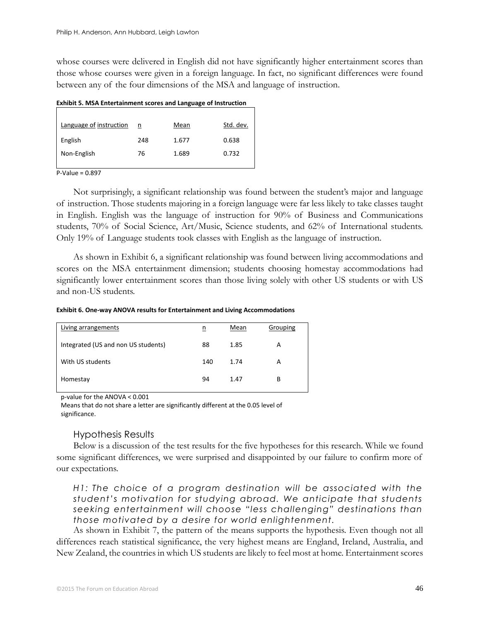whose courses were delivered in English did not have significantly higher entertainment scores than those whose courses were given in a foreign language. In fact, no significant differences were found between any of the four dimensions of the MSA and language of instruction.

| LATING J. MJA LIIGI (AMMICII) SCOTES AND LANGUAGE OF MSG UCHON |     |       |           |  |  |  |  |  |
|----------------------------------------------------------------|-----|-------|-----------|--|--|--|--|--|
|                                                                |     |       |           |  |  |  |  |  |
| Language of instruction                                        | n   | Mean  | Std. dev. |  |  |  |  |  |
| English                                                        | 248 | 1.677 | 0.638     |  |  |  |  |  |
| Non-English                                                    | 76  | 1.689 | 0.732     |  |  |  |  |  |
|                                                                |     |       |           |  |  |  |  |  |

**Exhibit 5. MSA Entertainment scores and Language of Instruction**

P-Value = 0.897

Not surprisingly, a significant relationship was found between the student's major and language of instruction. Those students majoring in a foreign language were far less likely to take classes taught in English. English was the language of instruction for 90% of Business and Communications students, 70% of Social Science, Art/Music, Science students, and 62% of International students. Only 19% of Language students took classes with English as the language of instruction.

As shown in Exhibit 6, a significant relationship was found between living accommodations and scores on the MSA entertainment dimension; students choosing homestay accommodations had significantly lower entertainment scores than those living solely with other US students or with US and non-US students.

**Exhibit 6. One-way ANOVA results for Entertainment and Living Accommodations**

| Living arrangements                 | n   | Mean | Grouping |
|-------------------------------------|-----|------|----------|
| Integrated (US and non US students) | 88  | 1.85 | А        |
| With US students                    | 140 | 1.74 | A        |
| Homestay                            | 94  | 1.47 | В        |
|                                     |     |      |          |

p-value for the ANOVA < 0.001

Means that do not share a letter are significantly different at the 0.05 level of significance.

### Hypothesis Results

Below is a discussion of the test results for the five hypotheses for this research. While we found some significant differences, we were surprised and disappointed by our failure to confirm more of our expectations.

*H1: The choice of a program destination will be associated with the student's motivation for studying abroad. We anticipate that students seeking entertainment will choose "less challenging" destinations than those motivated by a desire for world enlightenment.*

As shown in Exhibit 7, the pattern of the means supports the hypothesis. Even though not all differences reach statistical significance, the very highest means are England, Ireland, Australia, and New Zealand, the countries in which US students are likely to feel most at home. Entertainment scores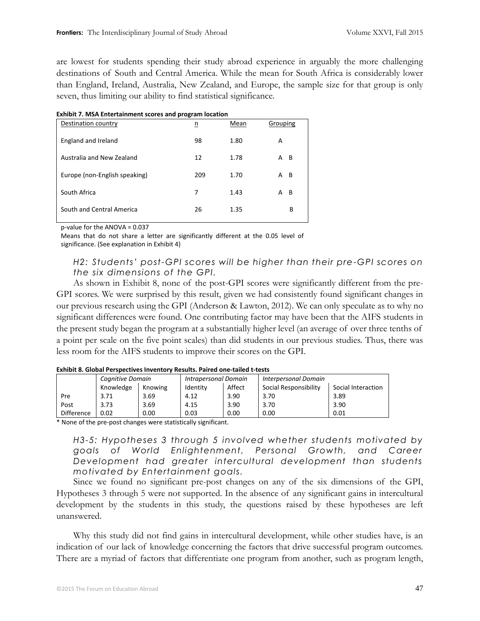are lowest for students spending their study abroad experience in arguably the more challenging destinations of South and Central America. While the mean for South Africa is considerably lower than England, Ireland, Australia, New Zealand, and Europe, the sample size for that group is only seven, thus limiting our ability to find statistical significance.

| Exhibit 7. MSA Entertainment scores and program location |     |      |          |  |
|----------------------------------------------------------|-----|------|----------|--|
| Destination country                                      | n   | Mean | Grouping |  |
| England and Ireland                                      | 98  | 1.80 | А        |  |
| Australia and New Zealand                                | 12  | 1.78 | - B<br>А |  |
| Europe (non-English speaking)                            | 209 | 1.70 | -B<br>А  |  |
| South Africa                                             | 7   | 1.43 | B<br>А   |  |
| South and Central America                                | 26  | 1.35 | B        |  |
|                                                          |     |      |          |  |

#### **Exhibit 7. MSA Entertainment scores and program location**

p-value for the ANOVA = 0.037

Means that do not share a letter are significantly different at the 0.05 level of significance. (See explanation in Exhibit 4)

*H2: Students' post-GPI scores will be higher than their pre-GPI scores on the six dimensions of the GPI.* 

As shown in Exhibit 8, none of the post-GPI scores were significantly different from the pre-GPI scores. We were surprised by this result, given we had consistently found significant changes in our previous research using the GPI (Anderson & Lawton, 2012). We can only speculate as to why no significant differences were found. One contributing factor may have been that the AIFS students in the present study began the program at a substantially higher level (an average of over three tenths of a point per scale on the five point scales) than did students in our previous studies. Thus, there was less room for the AIFS students to improve their scores on the GPI.

|                   | Cognitive Domain |         | <b>Intrapersonal Domain</b> |      | <b>Interpersonal Domain</b> |                    |  |
|-------------------|------------------|---------|-----------------------------|------|-----------------------------|--------------------|--|
|                   | Knowledge        | Knowing | Affect<br>Identity          |      | Social Responsibility       | Social Interaction |  |
| Pre               | 3.71             | 3.69    | 4.12                        | 3.90 | 3.70                        | 3.89               |  |
| Post              | 3.73             | 3.69    | 4.15                        | 3.90 | 3.70                        | 3.90               |  |
| <b>Difference</b> | 0.02             | 0.00    | 0.03                        | 0.00 | 0.00                        | 0.01               |  |

#### **Exhibit 8. Global Perspectives Inventory Results. Paired one-tailed t-tests**

\* None of the pre-post changes were statistically significant.

*H3-5: Hypotheses 3 through 5 involved whether students motivated by goals of World Enlightenment, Personal Growth, and Career Development had greater intercultural development than students motivated by Entertainment goals.*

Since we found no significant pre-post changes on any of the six dimensions of the GPI, Hypotheses 3 through 5 were not supported. In the absence of any significant gains in intercultural development by the students in this study, the questions raised by these hypotheses are left unanswered.

Why this study did not find gains in intercultural development, while other studies have, is an indication of our lack of knowledge concerning the factors that drive successful program outcomes. There are a myriad of factors that differentiate one program from another, such as program length,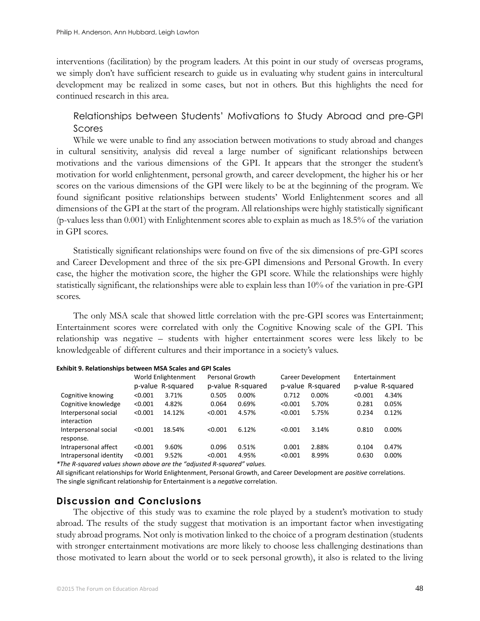interventions (facilitation) by the program leaders. At this point in our study of overseas programs, we simply don't have sufficient research to guide us in evaluating why student gains in intercultural development may be realized in some cases, but not in others. But this highlights the need for continued research in this area.

# Relationships between Students' Motivations to Study Abroad and pre-GPI Scores

While we were unable to find any association between motivations to study abroad and changes in cultural sensitivity, analysis did reveal a large number of significant relationships between motivations and the various dimensions of the GPI. It appears that the stronger the student's motivation for world enlightenment, personal growth, and career development, the higher his or her scores on the various dimensions of the GPI were likely to be at the beginning of the program. We found significant positive relationships between students' World Enlightenment scores and all dimensions of the GPI at the start of the program. All relationships were highly statistically significant (p-values less than 0.001) with Enlightenment scores able to explain as much as 18.5% of the variation in GPI scores.

Statistically significant relationships were found on five of the six dimensions of pre-GPI scores and Career Development and three of the six pre-GPI dimensions and Personal Growth. In every case, the higher the motivation score, the higher the GPI score. While the relationships were highly statistically significant, the relationships were able to explain less than 10% of the variation in pre-GPI scores.

The only MSA scale that showed little correlation with the pre-GPI scores was Entertainment; Entertainment scores were correlated with only the Cognitive Knowing scale of the GPI. This relationship was negative – students with higher entertainment scores were less likely to be knowledgeable of different cultures and their importance in a society's values.

|                                                                          |         | World Enlightenment<br>Personal Growth |         | Career Development |         | Entertainment     |         |                   |
|--------------------------------------------------------------------------|---------|----------------------------------------|---------|--------------------|---------|-------------------|---------|-------------------|
|                                                                          |         | p-value R-squared                      |         | p-value R-squared  |         | p-value R-squared |         | p-value R-squared |
| Cognitive knowing                                                        | < 0.001 | 3.71%                                  | 0.505   | $0.00\%$           | 0.712   | 0.00%             | < 0.001 | 4.34%             |
| Cognitive knowledge                                                      | < 0.001 | 4.82%                                  | 0.064   | 0.69%              | < 0.001 | 5.70%             | 0.281   | 0.05%             |
| Interpersonal social                                                     | < 0.001 | 14.12%                                 | < 0.001 | 4.57%              | < 0.001 | 5.75%             | 0.234   | 0.12%             |
| interaction<br>Interpersonal social                                      | < 0.001 | 18.54%                                 | < 0.001 | 6.12%              | < 0.001 | 3.14%             | 0.810   | $0.00\%$          |
| response.                                                                |         |                                        |         |                    |         |                   |         |                   |
| Intrapersonal affect                                                     | < 0.001 | 9.60%                                  | 0.096   | 0.51%              | 0.001   | 2.88%             | 0.104   | 0.47%             |
| Intrapersonal identity                                                   | < 0.001 | 9.52%                                  | < 0.001 | 4.95%              | < 0.001 | 8.99%             | 0.630   | 0.00%             |
| $*$ The B caugred values shown above are the "adjusted B squared" values |         |                                        |         |                    |         |                   |         |                   |

*\*The R-squared values shown above are the "adjusted R-squared" values.* All significant relationships for World Enlightenment, Personal Growth, and Career Development are *positive* correlations.

The single significant relationship for Entertainment is a *negative* correlation.

### **Discussion and Conclusions**

The objective of this study was to examine the role played by a student's motivation to study abroad. The results of the study suggest that motivation is an important factor when investigating study abroad programs. Not only is motivation linked to the choice of a program destination (students with stronger entertainment motivations are more likely to choose less challenging destinations than those motivated to learn about the world or to seek personal growth), it also is related to the living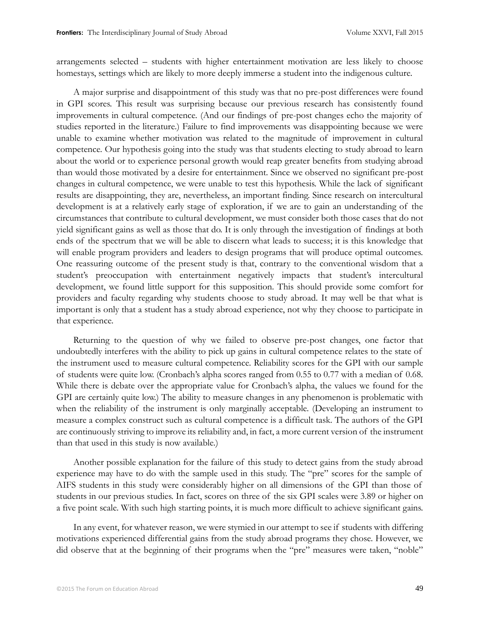arrangements selected – students with higher entertainment motivation are less likely to choose homestays, settings which are likely to more deeply immerse a student into the indigenous culture.

A major surprise and disappointment of this study was that no pre-post differences were found in GPI scores. This result was surprising because our previous research has consistently found improvements in cultural competence. (And our findings of pre-post changes echo the majority of studies reported in the literature.) Failure to find improvements was disappointing because we were unable to examine whether motivation was related to the magnitude of improvement in cultural competence. Our hypothesis going into the study was that students electing to study abroad to learn about the world or to experience personal growth would reap greater benefits from studying abroad than would those motivated by a desire for entertainment. Since we observed no significant pre-post changes in cultural competence, we were unable to test this hypothesis. While the lack of significant results are disappointing, they are, nevertheless, an important finding. Since research on intercultural development is at a relatively early stage of exploration, if we are to gain an understanding of the circumstances that contribute to cultural development, we must consider both those cases that do not yield significant gains as well as those that do. It is only through the investigation of findings at both ends of the spectrum that we will be able to discern what leads to success; it is this knowledge that will enable program providers and leaders to design programs that will produce optimal outcomes. One reassuring outcome of the present study is that, contrary to the conventional wisdom that a student's preoccupation with entertainment negatively impacts that student's intercultural development, we found little support for this supposition. This should provide some comfort for providers and faculty regarding why students choose to study abroad. It may well be that what is important is only that a student has a study abroad experience, not why they choose to participate in that experience.

Returning to the question of why we failed to observe pre-post changes, one factor that undoubtedly interferes with the ability to pick up gains in cultural competence relates to the state of the instrument used to measure cultural competence. Reliability scores for the GPI with our sample of students were quite low. (Cronbach's alpha scores ranged from 0.55 to 0.77 with a median of 0.68. While there is debate over the appropriate value for Cronbach's alpha, the values we found for the GPI are certainly quite low.) The ability to measure changes in any phenomenon is problematic with when the reliability of the instrument is only marginally acceptable. (Developing an instrument to measure a complex construct such as cultural competence is a difficult task. The authors of the GPI are continuously striving to improve its reliability and, in fact, a more current version of the instrument than that used in this study is now available.)

Another possible explanation for the failure of this study to detect gains from the study abroad experience may have to do with the sample used in this study. The "pre" scores for the sample of AIFS students in this study were considerably higher on all dimensions of the GPI than those of students in our previous studies. In fact, scores on three of the six GPI scales were 3.89 or higher on a five point scale. With such high starting points, it is much more difficult to achieve significant gains.

In any event, for whatever reason, we were stymied in our attempt to see if students with differing motivations experienced differential gains from the study abroad programs they chose. However, we did observe that at the beginning of their programs when the "pre" measures were taken, "noble"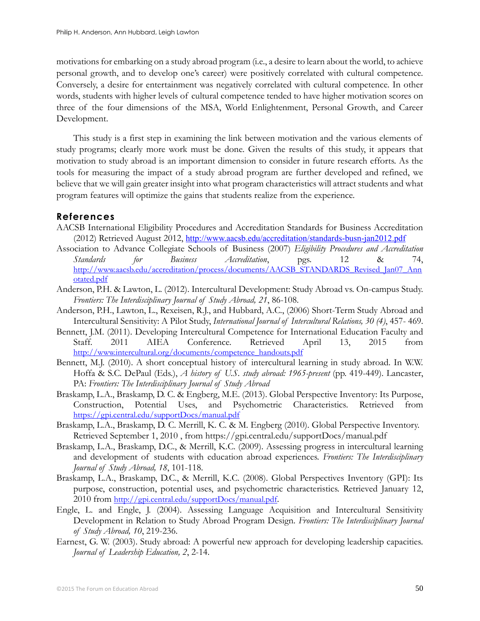motivations for embarking on a study abroad program (i.e., a desire to learn about the world, to achieve personal growth, and to develop one's career) were positively correlated with cultural competence. Conversely, a desire for entertainment was negatively correlated with cultural competence. In other words, students with higher levels of cultural competence tended to have higher motivation scores on three of the four dimensions of the MSA, World Enlightenment, Personal Growth, and Career Development.

This study is a first step in examining the link between motivation and the various elements of study programs; clearly more work must be done. Given the results of this study, it appears that motivation to study abroad is an important dimension to consider in future research efforts. As the tools for measuring the impact of a study abroad program are further developed and refined, we believe that we will gain greater insight into what program characteristics will attract students and what program features will optimize the gains that students realize from the experience.

### **References**

- AACSB International Eligibility Procedures and Accreditation Standards for Business Accreditation (2012) Retrieved August 2012, <http://www.aacsb.edu/accreditation/standards-busn-jan2012.pdf>
- Association to Advance Collegiate Schools of Business (2007) *Eligibility Procedures and Accreditation Standards for Business Accreditation*, pgs. 12 & 74, [http://www.aacsb.edu/accreditation/process/documents/AACSB\\_STANDARDS\\_Revised\\_Jan07\\_Ann](http://www.aacsb.edu/accreditation/process/documents/AACSB_STANDARDS_Revised_Jan07_Annotated.pdf) [otated.pdf](http://www.aacsb.edu/accreditation/process/documents/AACSB_STANDARDS_Revised_Jan07_Annotated.pdf)
- Anderson, P.H. & Lawton, L. (2012). Intercultural Development: Study Abroad vs. On-campus Study. *Frontiers: The Interdisciplinary Journal of Study Abroad, 21*, 86-108.
- Anderson, P.H., Lawton, L., Rexeisen, R.J., and Hubbard, A.C., (2006) Short-Term Study Abroad and Intercultural Sensitivity: A Pilot Study, *International Journal of Intercultural Relations, 30 (4)*, 457- 469.
- Bennett, J.M. (2011). Developing Intercultural Competence for International Education Faculty and Staff. 2011 AIEA Conference. Retrieved April 13, 2015 from [http://www.intercultural.org/documents/competence\\_handouts.pdf](http://www.intercultural.org/documents/competence_handouts.pdf)
- Bennett, M.J. (2010). A short conceptual history of intercultural learning in study abroad. In W.W. Hoffa & S.C. DePaul (Eds.), *A history of U.S. study abroad: 1965-present* (pp. 419-449). Lancaster, PA: *Frontiers: The Interdisciplinary Journal of Study Abroad*
- Braskamp, L.A., Braskamp, D. C. & Engberg, M.E. (2013). Global Perspective Inventory: Its Purpose, Construction, Potential Uses, and Psychometric Characteristics. Retrieved from <https://gpi.central.edu/supportDocs/manual.pdf>
- Braskamp, L.A., Braskamp, D. C. Merrill, K. C. & M. Engberg (2010). Global Perspective Inventory. Retrieved September 1, 2010 , from<https://gpi.central.edu/supportDocs/manual.pdf>
- Braskamp, L.A., Braskamp, D.C., & Merrill, K.C. (2009). Assessing progress in intercultural learning and development of students with education abroad experiences. *Frontiers: The Interdisciplinary Journal of Study Abroad, 18*, 101-118.
- Braskamp, L.A., Braskamp, D.C., & Merrill, K.C. (2008). Global Perspectives Inventory (GPI): Its purpose, construction, potential uses, and psychometric characteristics. Retrieved January 12, 2010 from <http://gpi.central.edu/supportDocs/manual.pdf>.
- Engle, L. and Engle, J. (2004). Assessing Language Acquisition and Intercultural Sensitivity Development in Relation to Study Abroad Program Design. *Frontiers: The Interdisciplinary Journal of Study Abroad, 10*, 219-236.
- Earnest, G. W. (2003). Study abroad: A powerful new approach for developing leadership capacities. *Journal of Leadership Education, 2*, 2-14.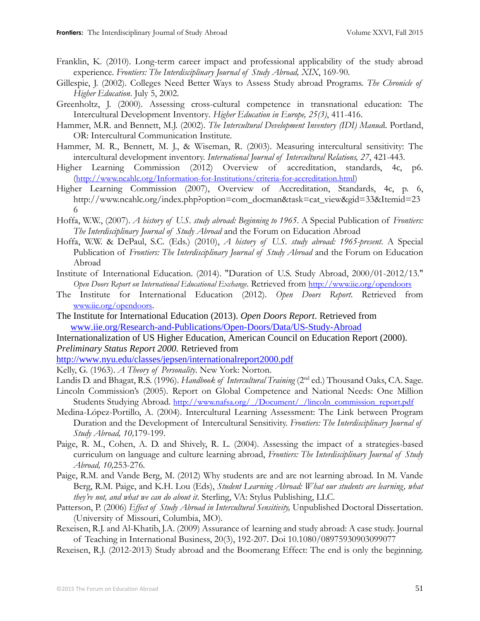- Franklin, K. (2010). Long-term career impact and professional applicability of the study abroad experience. *Frontiers: The Interdisciplinary Journal of Study Abroad, XIX*, 169-90.
- Gillespie, J. (2002). Colleges Need Better Ways to Assess Study abroad Programs. *The Chronicle of Higher Education*. July 5, 2002.
- Greenholtz, J. (2000). Assessing cross-cultural competence in transnational education: The Intercultural Development Inventory*. Higher Education in Europe, 25(3)*, 411-416.
- Hammer, M.R. and Bennett, M.J. (2002). *The Intercultural Development Inventory (IDI) Manua*l. Portland, OR: Intercultural Communication Institute.
- Hammer, M. R., Bennett, M. J., & Wiseman, R. (2003). Measuring intercultural sensitivity: The intercultural development inventory. *International Journal of Intercultural Relations, 27*, 421-443.
- Higher Learning Commission (2012) Overview of accreditation, standards, 4c, p6. (<http://www.ncahlc.org/Information-for-Institutions/criteria-for-accreditation.html>)
- Higher Learning Commission (2007), Overview of Accreditation, Standards, 4c, p. 6, http://www.ncahlc.org/index.php?option=com\_docman&task=cat\_view&gid=33&Itemid=23 6
- Hoffa, W.W., (2007). *A history of U.S. study abroad: Beginning to 1965*. A Special Publication of *Frontiers: The Interdisciplinary Journal of Study Abroad* and the Forum on Education Abroad
- Hoffa, W.W. & DePaul, S.C. (Eds.) (2010), *A history of U.S. study abroad: 1965-present*. A Special Publication of *Frontiers: The Interdisciplinary Journal of Study Abroad* and the Forum on Education Abroad
- Institute of International Education. (2014). "Duration of U.S. Study Abroad, 2000/01-2012/13." *Open Doors Report on International Educational Exchange*. Retrieved from <http://www.iie.org/opendoors>
- The Institute for International Education (2012). *Open Doors Report*. Retrieved from [www.iie.org/opendoors](http://www.iie.org/opendoors).
- The Institute for International Education (2013). *Open Doors Report*. Retrieved from [www.iie.org/Research-and-Publications/Open-Doors/Data/US-Study-Abroad](http://www.iie.org/Research-and-Publications/Open-Doors/Data/US-Study-Abroad)

Internationalization of US Higher Education, American Council on Education Report (2000). *Preliminary Status Report 2000.* Retrieved from

<http://www.nyu.edu/classes/jepsen/internationalreport2000.pdf>

- Kelly, G. (1963). *A Theory of Personality*. New York: Norton.
- Landis D. and Bhagat, R.S. (1996). *Handbook of Intercultural Training* (2<sup>nd</sup> ed.) Thousand Oaks, CA. Sage.
- Lincoln Commission's (2005). Report on Global Competence and National Needs: One Million Students Studying Abroad*.* [http://www.nafsa.org/\\_/Document/\\_/lincoln\\_commission\\_report.pdf](http://www.nafsa.org/_/Document/_/lincoln_commission_report.pdf)
- Medina-López-Portillo, A. (2004). Intercultural Learning Assessment: The Link between Program Duration and the Development of Intercultural Sensitivity. *Frontiers: The Interdisciplinary Journal of Study Abroad, 10,*179-199.
- Paige, R. M., Cohen, A. D. and Shively, R. L. (2004). Assessing the impact of a strategies-based curriculum on language and culture learning abroad, *Frontiers: The Interdisciplinary Journal of Study Abroad, 10,*253-276*.*
- Paige, R.M. and Vande Berg, M. (2012) Why students are and are not learning abroad. In M. Vande Berg, R.M. Paige, and K.H. Lou (Eds), *Student Learning Abroad: What our students are learning, what they're not, and what we can do about it*. Sterling, VA: Stylus Publishing, LLC.
- Patterson, P. (2006) *Effect of Study Abroad in Intercultural Sensitivity,* Unpublished Doctoral Dissertation. (University of Missouri, Columbia, MO).
- Rexeisen, R.J. and Al-Khatib, J.A. (2009) Assurance of learning and study abroad: A case study. Journal of Teaching in International Business, 20(3), 192-207. Doi 10.1080/08975930903099077

Rexeisen, R.J. (2012-2013) Study abroad and the Boomerang Effect: The end is only the beginning.